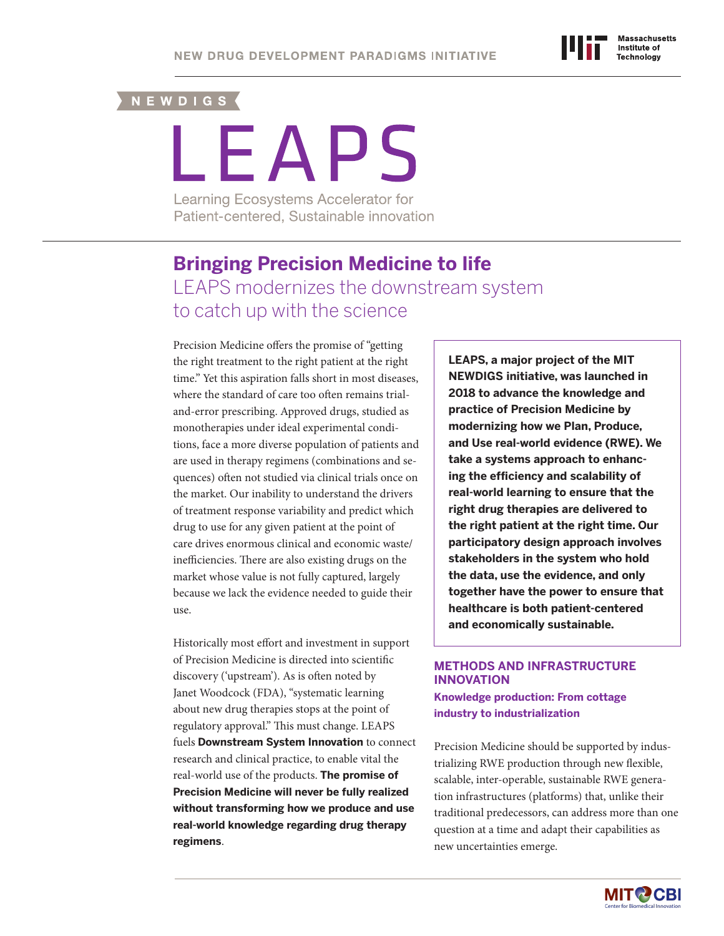# NEWDIGS (

# LEAPS

Learning Ecosystems Accelerator for Patient-centered, Sustainable innovation

# **Bringing Precision Medicine to life** LEAPS modernizes the downstream system to catch up with the science

Precision Medicine offers the promise of "getting the right treatment to the right patient at the right time." Yet this aspiration falls short in most diseases, where the standard of care too often remains trialand-error prescribing. Approved drugs, studied as monotherapies under ideal experimental conditions, face a more diverse population of patients and are used in therapy regimens (combinations and sequences) often not studied via clinical trials once on the market. Our inability to understand the drivers of treatment response variability and predict which drug to use for any given patient at the point of care drives enormous clinical and economic waste/ inefficiencies. There are also existing drugs on the market whose value is not fully captured, largely because we lack the evidence needed to guide their use.

Historically most effort and investment in support of Precision Medicine is directed into scientific discovery ('upstream'). As is often noted by Janet Woodcock (FDA), "systematic learning about new drug therapies stops at the point of regulatory approval." This must change. LEAPS fuels **Downstream System Innovation** to connect research and clinical practice, to enable vital the real-world use of the products. **The promise of Precision Medicine will never be fully realized without transforming how we produce and use real-world knowledge regarding drug therapy regimens**.

**LEAPS, a major project of the MIT NEWDIGS initiative, was launched in 2018 to advance the knowledge and practice of Precision Medicine by modernizing how we Plan, Produce, and Use real-world evidence (RWE). We take a systems approach to enhancing the efficiency and scalability of real-world learning to ensure that the right drug therapies are delivered to the right patient at the right time. Our participatory design approach involves stakeholders in the system who hold the data, use the evidence, and only together have the power to ensure that healthcare is both patient-centered and economically sustainable.**

# **METHODS AND INFRASTRUCTURE INNOVATION**

**Knowledge production: From cottage industry to industrialization**

Precision Medicine should be supported by industrializing RWE production through new flexible, scalable, inter-operable, sustainable RWE generation infrastructures (platforms) that, unlike their traditional predecessors, can address more than one question at a time and adapt their capabilities as new uncertainties emerge.

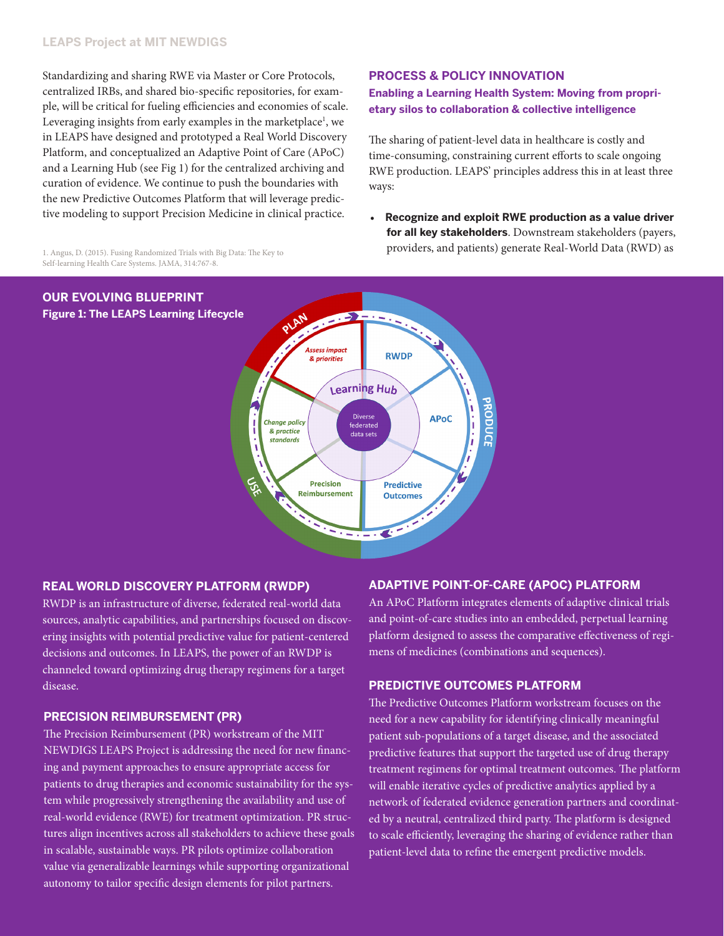# **LEAPS Project at MIT NEWDIGS**

Standardizing and sharing RWE via Master or Core Protocols, centralized IRBs, and shared bio-specific repositories, for example, will be critical for fueling efficiencies and economies of scale. Leveraging insights from early examples in the marketplace<sup>1</sup>, we in LEAPS have designed and prototyped a Real World Discovery Platform, and conceptualized an Adaptive Point of Care (APoC) and a Learning Hub (see Fig 1) for the centralized archiving and curation of evidence. We continue to push the boundaries with the new Predictive Outcomes Platform that will leverage predictive modeling to support Precision Medicine in clinical practice.

1. Angus, D. (2015). Fusing Randomized Trials with Big Data: The Key to

**PROCESS & POLICY INNOVATION Enabling a Learning Health System: Moving from proprietary silos to collaboration & collective intelligence**

The sharing of patient-level data in healthcare is costly and time-consuming, constraining current efforts to scale ongoing RWE production. LEAPS' principles address this in at least three ways:

• **Recognize and exploit RWE production as a value driver for all key stakeholders**. Downstream stakeholders (payers, providers, and patients) generate Real-World Data (RWD) as



# **REAL WORLD DISCOVERY PLATFORM (RWDP)**

RWDP is an infrastructure of diverse, federated real-world data sources, analytic capabilities, and partnerships focused on discovering insights with potential predictive value for patient-centered decisions and outcomes. In LEAPS, the power of an RWDP is channeled toward optimizing drug therapy regimens for a target disease. **PREDICTIVE OUTCOMES PLATFORM**

# **PRECISION REIMBURSEMENT (PR)**

The Precision Reimbursement (PR) workstream of the MIT NEWDIGS LEAPS Project is addressing the need for new financing and payment approaches to ensure appropriate access for patients to drug therapies and economic sustainability for the system while progressively strengthening the availability and use of real-world evidence (RWE) for treatment optimization. PR structures align incentives across all stakeholders to achieve these goals in scalable, sustainable ways. PR pilots optimize collaboration value via generalizable learnings while supporting organizational autonomy to tailor specific design elements for pilot partners.

# **ADAPTIVE POINT-OF-CARE (APOC) PLATFORM**

An APoC Platform integrates elements of adaptive clinical trials and point-of-care studies into an embedded, perpetual learning platform designed to assess the comparative effectiveness of regimens of medicines (combinations and sequences).

The Predictive Outcomes Platform workstream focuses on the need for a new capability for identifying clinically meaningful patient sub-populations of a target disease, and the associated predictive features that support the targeted use of drug therapy treatment regimens for optimal treatment outcomes. The platform will enable iterative cycles of predictive analytics applied by a network of federated evidence generation partners and coordinated by a neutral, centralized third party. The platform is designed to scale efficiently, leveraging the sharing of evidence rather than patient-level data to refine the emergent predictive models.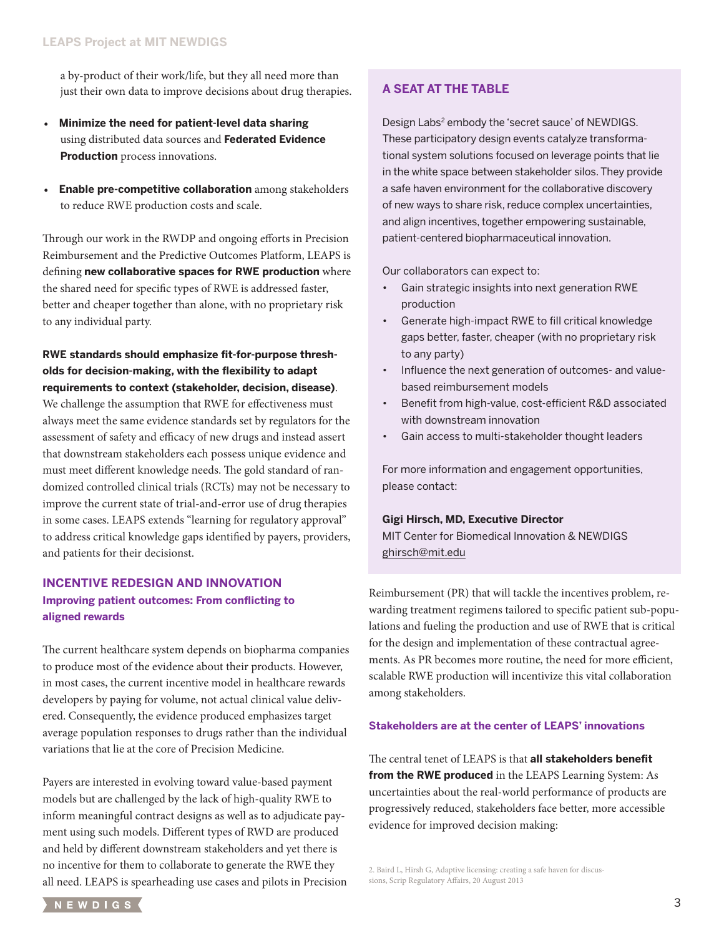a by-product of their work/life, but they all need more than just their own data to improve decisions about drug therapies.

- **Minimize the need for patient-level data sharing** using distributed data sources and **Federated Evidence Production** process innovations.
- **Enable pre-competitive collaboration** among stakeholders to reduce RWE production costs and scale.

Through our work in the RWDP and ongoing efforts in Precision Reimbursement and the Predictive Outcomes Platform, LEAPS is defining **new collaborative spaces for RWE production** where the shared need for specific types of RWE is addressed faster, better and cheaper together than alone, with no proprietary risk to any individual party.

# **RWE standards should emphasize fit-for-purpose thresholds for decision-making, with the flexibility to adapt requirements to context (stakeholder, decision, disease)**.

We challenge the assumption that RWE for effectiveness must always meet the same evidence standards set by regulators for the assessment of safety and efficacy of new drugs and instead assert that downstream stakeholders each possess unique evidence and must meet different knowledge needs. The gold standard of randomized controlled clinical trials (RCTs) may not be necessary to improve the current state of trial-and-error use of drug therapies in some cases. LEAPS extends "learning for regulatory approval" to address critical knowledge gaps identified by payers, providers, and patients for their decisionst.

# **INCENTIVE REDESIGN AND INNOVATION Improving patient outcomes: From conflicting to aligned rewards**

The current healthcare system depends on biopharma companies to produce most of the evidence about their products. However, in most cases, the current incentive model in healthcare rewards developers by paying for volume, not actual clinical value delivered. Consequently, the evidence produced emphasizes target average population responses to drugs rather than the individual variations that lie at the core of Precision Medicine.

Payers are interested in evolving toward value-based payment models but are challenged by the lack of high-quality RWE to inform meaningful contract designs as well as to adjudicate payment using such models. Different types of RWD are produced and held by different downstream stakeholders and yet there is no incentive for them to collaborate to generate the RWE they all need. LEAPS is spearheading use cases and pilots in Precision

# **A SEAT AT THE TABLE**

Design Labs<sup>2</sup> embody the 'secret sauce' of NEWDIGS. These participatory design events catalyze transformational system solutions focused on leverage points that lie in the white space between stakeholder silos. They provide a safe haven environment for the collaborative discovery of new ways to share risk, reduce complex uncertainties, and align incentives, together empowering sustainable, patient-centered biopharmaceutical innovation.

Our collaborators can expect to:

- Gain strategic insights into next generation RWE production
- Generate high-impact RWE to fill critical knowledge gaps better, faster, cheaper (with no proprietary risk to any party)
- Influence the next generation of outcomes- and valuebased reimbursement models
- Benefit from high-value, cost-efficient R&D associated with downstream innovation
- Gain access to multi-stakeholder thought leaders

For more information and engagement opportunities, please contact:

# **Gigi Hirsch, MD, Executive Director**

MIT Center for Biomedical Innovation & NEWDIGS [ghirsch@mit.edu](mailto:ghirsch@mit.edu)

Reimbursement (PR) that will tackle the incentives problem, rewarding treatment regimens tailored to specific patient sub-populations and fueling the production and use of RWE that is critical for the design and implementation of these contractual agreements. As PR becomes more routine, the need for more efficient, scalable RWE production will incentivize this vital collaboration among stakeholders.

## **Stakeholders are at the center of LEAPS' innovations**

The central tenet of LEAPS is that **all stakeholders benefit from the RWE produced** in the LEAPS Learning System: As uncertainties about the real-world performance of products are progressively reduced, stakeholders face better, more accessible evidence for improved decision making:

2. Baird L, Hirsh G, Adaptive licensing: creating a safe haven for discussions, Scrip Regulatory Affairs, 20 August 2013